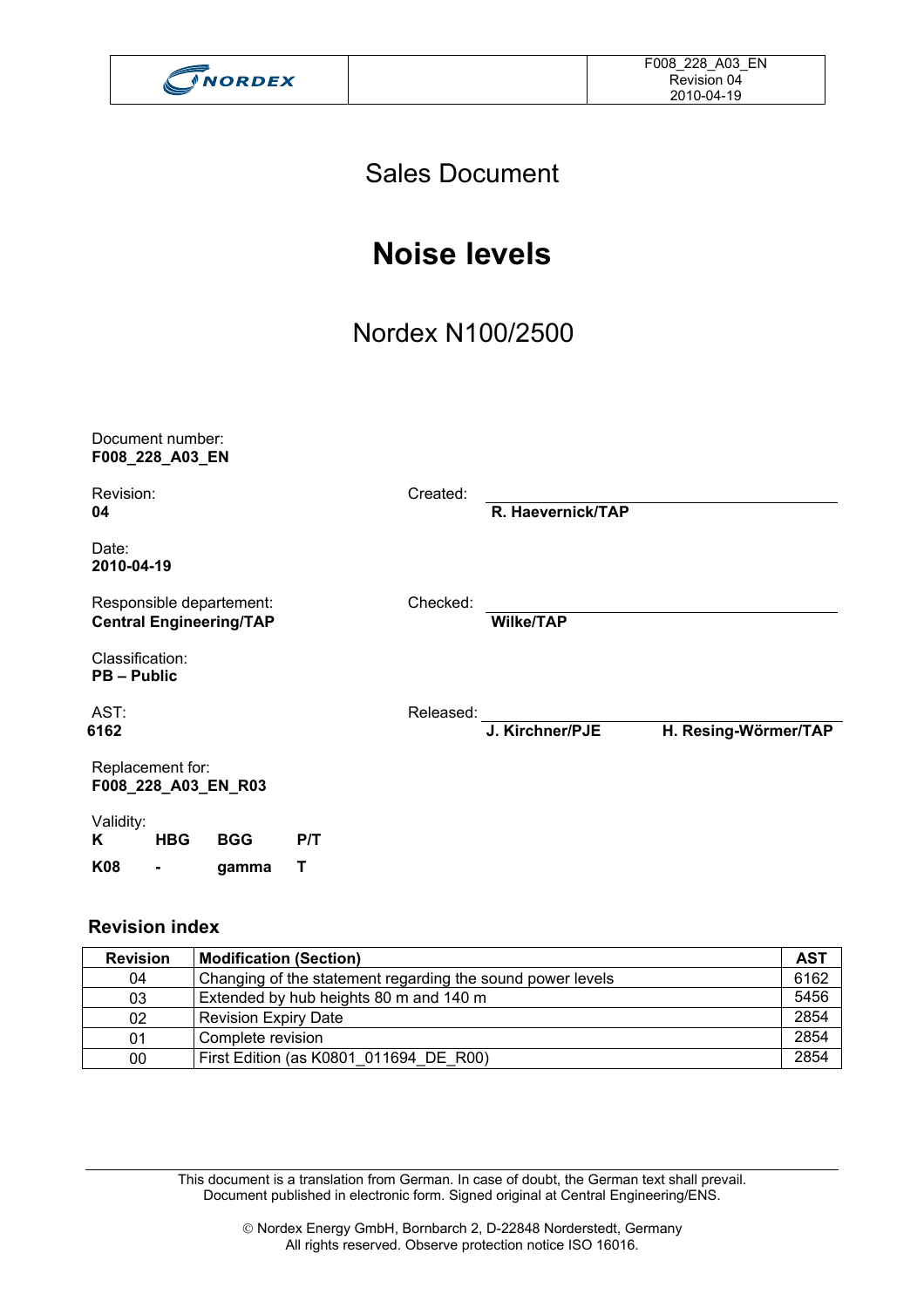

### Sales Document

## **Noise levels**

## Nordex N100/2500

| Document number: |  |  |  |
|------------------|--|--|--|
| F008_228_A03_EN  |  |  |  |

Revision: Created: **04 R. Haevernick/TAP** 

Date: **2010-04-19** 

Responsible departement: Checked: **Central Engineering/TAP Wilke/TAP** 

Classification: **PB – Public** 

AST: Released: **6162 J. Kirchner/PJE H. Resing-Wörmer/TAP** 

Replacement for: **F008\_228\_A03\_EN\_R03** 

Validity: **K HBG BGG P/T K08 - gamma T** 

#### **Revision index**

| <b>Revision</b> | <b>Modification (Section)</b>                              | <b>AST</b> |
|-----------------|------------------------------------------------------------|------------|
| 04              | Changing of the statement regarding the sound power levels | 6162       |
| 03              | Extended by hub heights 80 m and 140 m                     | 5456       |
| 02              | Revision Expiry Date                                       | 2854       |
| 01              | Complete revision                                          | 2854       |
| 00              | First Edition (as K0801_011694_DE_R00)                     | 2854       |

This document is a translation from German. In case of doubt, the German text shall prevail. Document published in electronic form. Signed original at Central Engineering/ENS.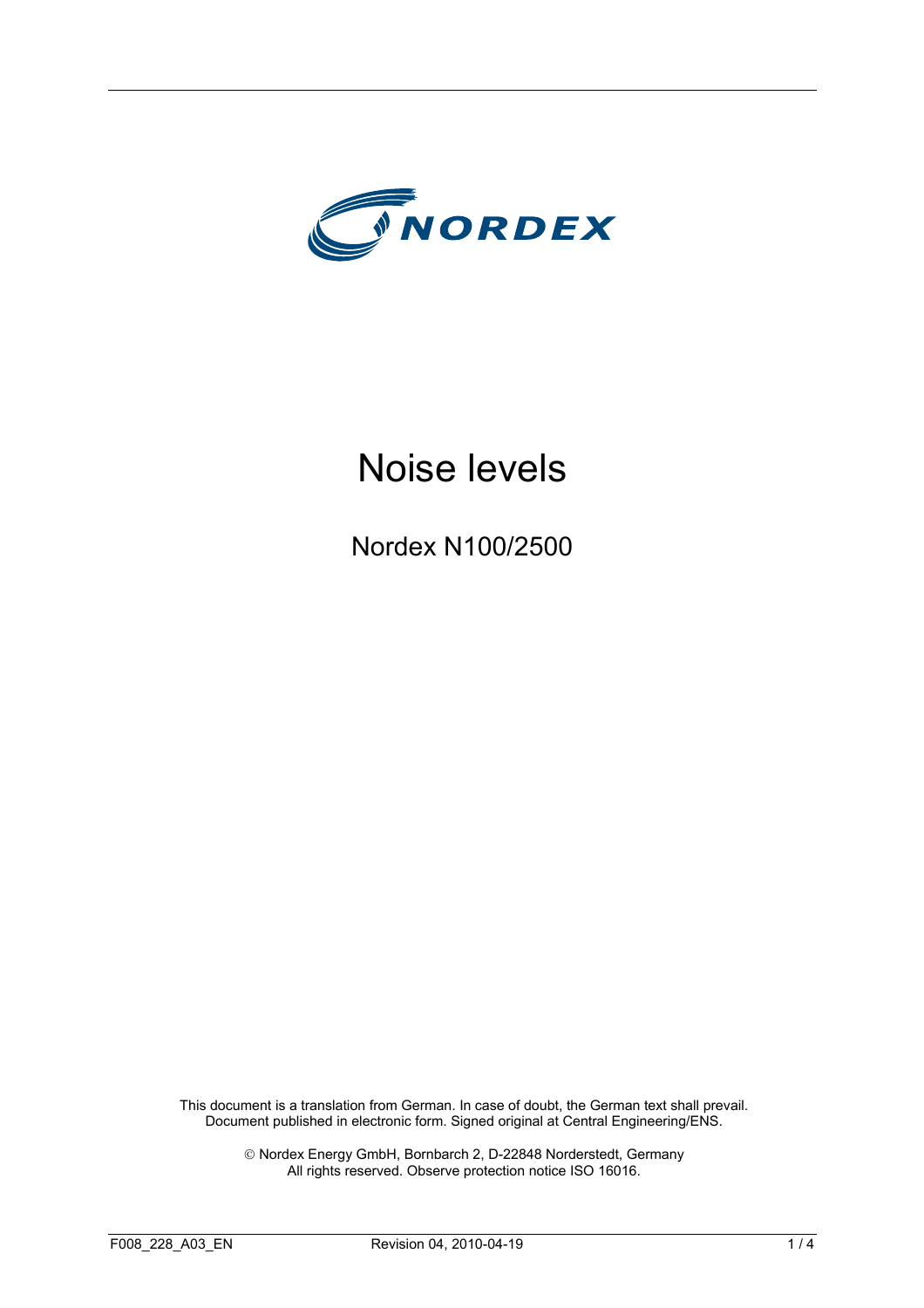

# Noise levels

Nordex N100/2500

This document is a translation from German. In case of doubt, the German text shall prevail. Document published in electronic form. Signed original at Central Engineering/ENS.

> Nordex Energy GmbH, Bornbarch 2, D-22848 Norderstedt, Germany All rights reserved. Observe protection notice ISO 16016.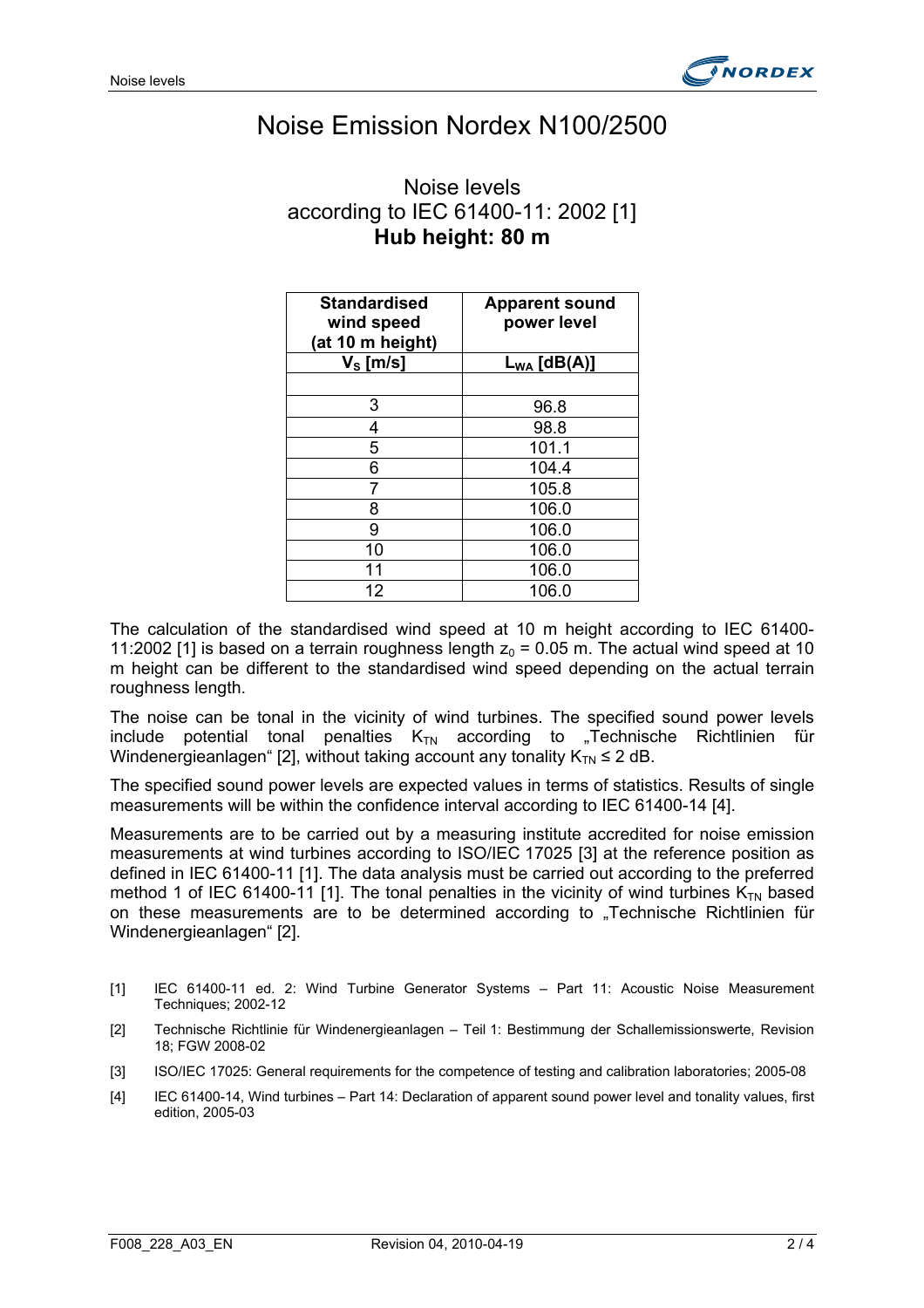

### Noise Emission Nordex N100/2500

### Noise levels according to IEC 61400-11: 2002 [1] **Hub height: 80 m**

| <b>Standardised</b><br>wind speed<br>(at 10 m height) | <b>Apparent sound</b><br>power level |
|-------------------------------------------------------|--------------------------------------|
| $V_s$ [m/s]                                           | $L_{WA}$ [dB(A)]                     |
|                                                       |                                      |
| 3                                                     | 96.8                                 |
| 4                                                     | 98.8                                 |
| 5                                                     | 101.1                                |
| 6                                                     | 104.4                                |
|                                                       | 105.8                                |
| 8                                                     | 106.0                                |
| 9                                                     | 106.0                                |
| 10                                                    | 106.0                                |
| 11                                                    | 106.0                                |
| 12                                                    | 106.0                                |

The calculation of the standardised wind speed at 10 m height according to IEC 61400- 11:2002 [1] is based on a terrain roughness length  $z_0 = 0.05$  m. The actual wind speed at 10 m height can be different to the standardised wind speed depending on the actual terrain roughness length.

The noise can be tonal in the vicinity of wind turbines. The specified sound power levels include potential tonal penalties  $K_{TN}$  according to "Technische Richtlinien für Windenergieanlagen" [2], without taking account any tonality  $K_{TN} \leq 2$  dB.

The specified sound power levels are expected values in terms of statistics. Results of single measurements will be within the confidence interval according to IEC 61400-14 [4].

Measurements are to be carried out by a measuring institute accredited for noise emission measurements at wind turbines according to ISO/IEC 17025 [3] at the reference position as defined in IEC 61400-11 [1]. The data analysis must be carried out according to the preferred method 1 of IEC 61400-11 [1]. The tonal penalties in the vicinity of wind turbines  $K_{TN}$  based on these measurements are to be determined according to "Technische Richtlinien für Windenergieanlagen" [2].

- [1] IEC 61400-11 ed. 2: Wind Turbine Generator Systems Part 11: Acoustic Noise Measurement Techniques; 2002-12
- [2] Technische Richtlinie für Windenergieanlagen Teil 1: Bestimmung der Schallemissionswerte, Revision 18; FGW 2008-02
- [3] ISO/IEC 17025: General requirements for the competence of testing and calibration laboratories; 2005-08
- [4] IEC 61400-14, Wind turbines Part 14: Declaration of apparent sound power level and tonality values, first edition, 2005-03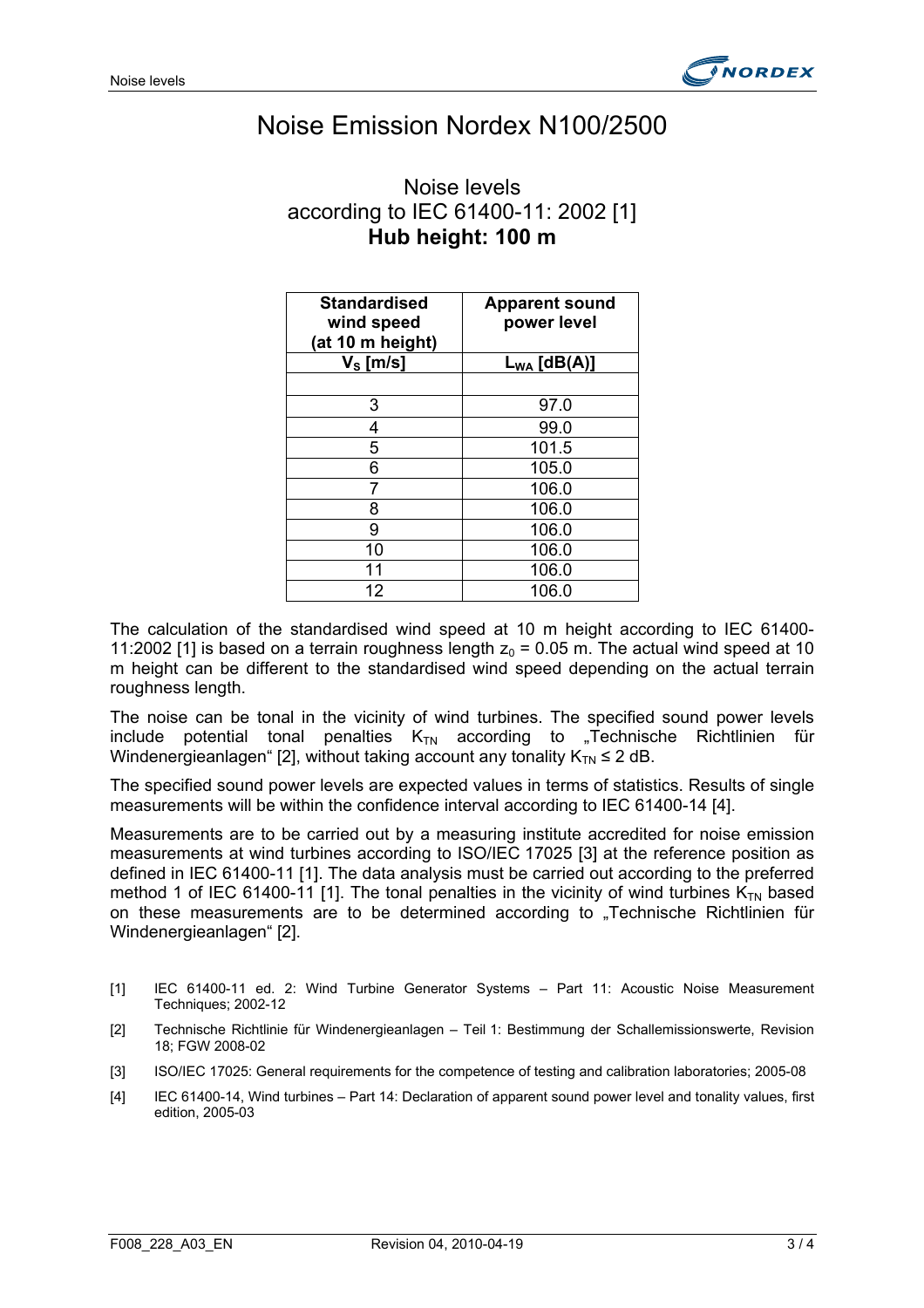

### Noise Emission Nordex N100/2500

| Noise levels                        |  |  |
|-------------------------------------|--|--|
| according to IEC 61400-11: 2002 [1] |  |  |
| Hub height: 100 m                   |  |  |

| <b>Standardised</b><br>wind speed<br>(at 10 m height) | <b>Apparent sound</b><br>power level |
|-------------------------------------------------------|--------------------------------------|
| $\mathsf{V}_{\mathsf{S}}\left[\mathsf{m/s}\right]$    | $L_{WA}$ [dB(A)]                     |
|                                                       |                                      |
| 3                                                     | 97.0                                 |
| 4                                                     | 99.0                                 |
| 5                                                     | 101.5                                |
| 6                                                     | 105.0                                |
|                                                       | 106.0                                |
| 8                                                     | 106.0                                |
| 9                                                     | 106.0                                |
| 10                                                    | 106.0                                |
| 11                                                    | 106.0                                |
| 12                                                    | 106.0                                |

The calculation of the standardised wind speed at 10 m height according to IEC 61400- 11:2002 [1] is based on a terrain roughness length  $z_0 = 0.05$  m. The actual wind speed at 10 m height can be different to the standardised wind speed depending on the actual terrain roughness length.

The noise can be tonal in the vicinity of wind turbines. The specified sound power levels include potential tonal penalties  $K_{TN}$  according to "Technische Richtlinien für Windenergieanlagen" [2], without taking account any tonality  $K_{TN} \leq 2$  dB.

The specified sound power levels are expected values in terms of statistics. Results of single measurements will be within the confidence interval according to IEC 61400-14 [4].

Measurements are to be carried out by a measuring institute accredited for noise emission measurements at wind turbines according to ISO/IEC 17025 [3] at the reference position as defined in IEC 61400-11 [1]. The data analysis must be carried out according to the preferred method 1 of IEC 61400-11 [1]. The tonal penalties in the vicinity of wind turbines  $K_{TN}$  based on these measurements are to be determined according to "Technische Richtlinien für Windenergieanlagen" [2].

- [1] IEC 61400-11 ed. 2: Wind Turbine Generator Systems Part 11: Acoustic Noise Measurement Techniques; 2002-12
- [2] Technische Richtlinie für Windenergieanlagen Teil 1: Bestimmung der Schallemissionswerte, Revision 18; FGW 2008-02
- [3] ISO/IEC 17025: General requirements for the competence of testing and calibration laboratories; 2005-08
- [4] IEC 61400-14, Wind turbines Part 14: Declaration of apparent sound power level and tonality values, first edition, 2005-03